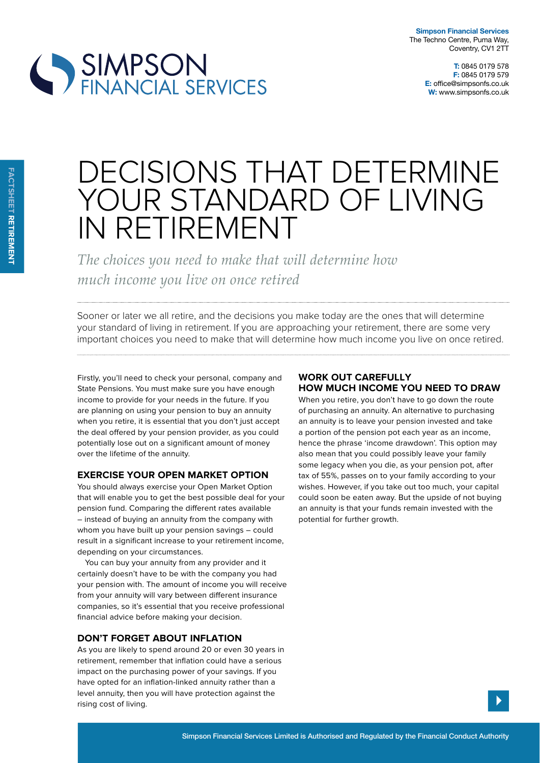**T:** 0845 0179 578 **F:** 0845 0179 579 **E:** office@simpsonfs.co.uk **W:** www.simpsonfs.co.uk



# DECISIONS THAT DETERMINE YOUR STANDARD OF LIVING IN RETIREMENT

*The choices you need to make that will determine how much income you live on once retired* 

Sooner or later we all retire, and the decisions you make today are the ones that will determine your standard of living in retirement. If you are approaching your retirement, there are some very important choices you need to make that will determine how much income you live on once retired.

Firstly, you'll need to check your personal, company and State Pensions. You must make sure you have enough income to provide for your needs in the future. If you are planning on using your pension to buy an annuity when you retire, it is essential that you don't just accept the deal offered by your pension provider, as you could potentially lose out on a significant amount of money over the lifetime of the annuity.

## **exercise your open market option**

You should always exercise your Open Market Option that will enable you to get the best possible deal for your pension fund. Comparing the diferent rates available – instead of buying an annuity from the company with whom you have built up your pension savings – could result in a significant increase to your retirement income, depending on your circumstances.

You can buy your annuity from any provider and it certainly doesn't have to be with the company you had your pension with. The amount of income you will receive from your annuity will vary between diferent insurance companies, so it's essential that you receive professional financial advice before making your decision.

## **don't Forget aBout inFlation**

As you are likely to spend around 20 or even 30 years in retirement, remember that inflation could have a serious impact on the purchasing power of your savings. If you have opted for an inflation-linked annuity rather than a level annuity, then you will have protection against the rising cost of living.

# **work out careFully How mucH income you need to draw**

When you retire, you don't have to go down the route of purchasing an annuity. An alternative to purchasing an annuity is to leave your pension invested and take a portion of the pension pot each year as an income, hence the phrase 'income drawdown'. This option may also mean that you could possibly leave your family some legacy when you die, as your pension pot, after tax of 55%, passes on to your family according to your wishes. However, if you take out too much, your capital could soon be eaten away. But the upside of not buying an annuity is that your funds remain invested with the potential for further growth.